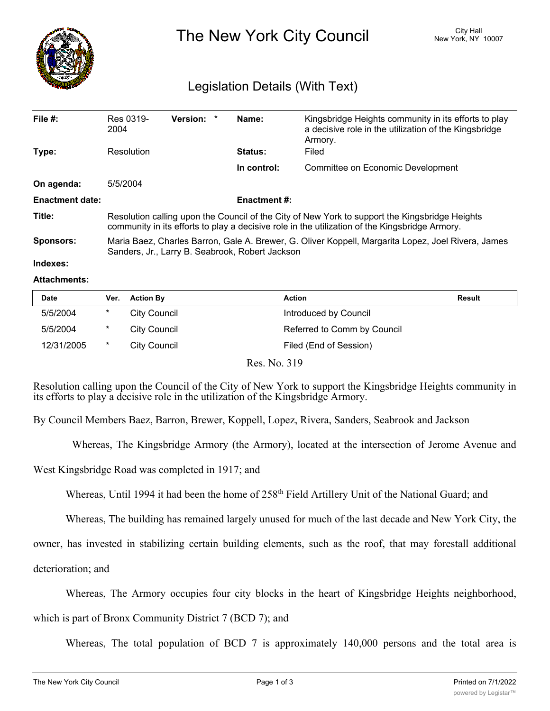

The New York City Council New York, NY 10007

## Legislation Details (With Text)

| File $#$ :             | Res 0319-<br>2004                                                                                                                                                                                | <b>Version:</b> | $\ast$ | Name:               | Kingsbridge Heights community in its efforts to play<br>a decisive role in the utilization of the Kingsbridge<br>Armory. |  |  |
|------------------------|--------------------------------------------------------------------------------------------------------------------------------------------------------------------------------------------------|-----------------|--------|---------------------|--------------------------------------------------------------------------------------------------------------------------|--|--|
| Type:                  | Resolution                                                                                                                                                                                       |                 |        | <b>Status:</b>      | Filed                                                                                                                    |  |  |
|                        |                                                                                                                                                                                                  |                 |        | In control:         | Committee on Economic Development                                                                                        |  |  |
| On agenda:             | 5/5/2004                                                                                                                                                                                         |                 |        |                     |                                                                                                                          |  |  |
| <b>Enactment date:</b> |                                                                                                                                                                                                  |                 |        | <b>Enactment #:</b> |                                                                                                                          |  |  |
| Title:                 | Resolution calling upon the Council of the City of New York to support the Kingsbridge Heights<br>community in its efforts to play a decisive role in the utilization of the Kingsbridge Armory. |                 |        |                     |                                                                                                                          |  |  |
| <b>Sponsors:</b>       | Maria Baez, Charles Barron, Gale A. Brewer, G. Oliver Koppell, Margarita Lopez, Joel Rivera, James<br>Sanders, Jr., Larry B. Seabrook, Robert Jackson                                            |                 |        |                     |                                                                                                                          |  |  |

## **Indexes:**

## **Attachments:**

| <b>Date</b> | Ver. | <b>Action By</b>    | <b>Action</b>               | <b>Result</b> |
|-------------|------|---------------------|-----------------------------|---------------|
| 5/5/2004    | *    | <b>City Council</b> | Introduced by Council       |               |
| 5/5/2004    | *    | <b>City Council</b> | Referred to Comm by Council |               |
| 12/31/2005  | *    | City Council        | Filed (End of Session)      |               |
|             |      | $\mathbf{r}$        | $\mathbf{M}$ $\mathbf{M}$   |               |

Res. No. 319

Resolution calling upon the Council of the City of New York to support the Kingsbridge Heights community in its efforts to play a decisive role in the utilization of the Kingsbridge Armory.

By Council Members Baez, Barron, Brewer, Koppell, Lopez, Rivera, Sanders, Seabrook and Jackson

Whereas, The Kingsbridge Armory (the Armory), located at the intersection of Jerome Avenue and

West Kingsbridge Road was completed in 1917; and

Whereas, Until 1994 it had been the home of 258<sup>th</sup> Field Artillery Unit of the National Guard; and

Whereas, The building has remained largely unused for much of the last decade and New York City, the

owner, has invested in stabilizing certain building elements, such as the roof, that may forestall additional

deterioration; and

Whereas, The Armory occupies four city blocks in the heart of Kingsbridge Heights neighborhood,

which is part of Bronx Community District 7 (BCD 7); and

Whereas, The total population of BCD 7 is approximately 140,000 persons and the total area is